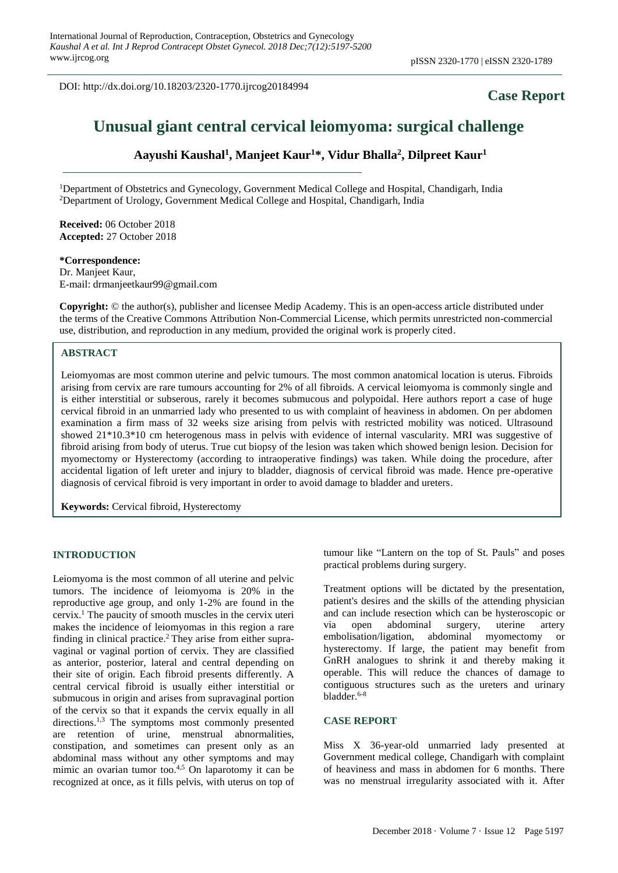DOI: http://dx.doi.org/10.18203/2320-1770.ijrcog20184994

# **Case Report**

# **Unusual giant central cervical leiomyoma: surgical challenge**

**Aayushi Kaushal<sup>1</sup> , Manjeet Kaur<sup>1</sup>\*, Vidur Bhalla<sup>2</sup> , Dilpreet Kaur<sup>1</sup>**

<sup>1</sup>Department of Obstetrics and Gynecology, Government Medical College and Hospital, Chandigarh, India <sup>2</sup>Department of Urology, Government Medical College and Hospital, Chandigarh, India

**Received:** 06 October 2018 **Accepted:** 27 October 2018

**\*Correspondence:** Dr. Manjeet Kaur, E-mail: drmanjeetkaur99@gmail.com

**Copyright:** © the author(s), publisher and licensee Medip Academy. This is an open-access article distributed under the terms of the Creative Commons Attribution Non-Commercial License, which permits unrestricted non-commercial use, distribution, and reproduction in any medium, provided the original work is properly cited.

#### **ABSTRACT**

Leiomyomas are most common uterine and pelvic tumours. The most common anatomical location is uterus. Fibroids arising from cervix are rare tumours accounting for 2% of all fibroids. A cervical leiomyoma is commonly single and is either interstitial or subserous, rarely it becomes submucous and polypoidal. Here authors report a case of huge cervical fibroid in an unmarried lady who presented to us with complaint of heaviness in abdomen. On per abdomen examination a firm mass of 32 weeks size arising from pelvis with restricted mobility was noticed. Ultrasound showed 21\*10.3\*10 cm heterogenous mass in pelvis with evidence of internal vascularity. MRI was suggestive of fibroid arising from body of uterus. True cut biopsy of the lesion was taken which showed benign lesion. Decision for myomectomy or Hysterectomy (according to intraoperative findings) was taken. While doing the procedure, after accidental ligation of left ureter and injury to bladder, diagnosis of cervical fibroid was made. Hence pre-operative diagnosis of cervical fibroid is very important in order to avoid damage to bladder and ureters.

**Keywords:** Cervical fibroid, Hysterectomy

#### **INTRODUCTION**

Leiomyoma is the most common of all uterine and pelvic tumors. The incidence of leiomyoma is 20% in the reproductive age group, and only 1-2% are found in the cervix. <sup>1</sup> The paucity of smooth muscles in the cervix uteri makes the incidence of leiomyomas in this region a rare finding in clinical practice. <sup>2</sup> They arise from either supravaginal or vaginal portion of cervix. They are classified as anterior, posterior, lateral and central depending on their site of origin. Each fibroid presents differently. A central cervical fibroid is usually either interstitial or submucous in origin and arises from supravaginal portion of the cervix so that it expands the cervix equally in all directions.<sup>1,3</sup> The symptoms most commonly presented are retention of urine, menstrual abnormalities, constipation, and sometimes can present only as an abdominal mass without any other symptoms and may mimic an ovarian tumor too.<sup>4,5</sup> On laparotomy it can be recognized at once, as it fills pelvis, with uterus on top of tumour like "Lantern on the top of St. Pauls" and poses practical problems during surgery.

Treatment options will be dictated by the presentation, patient's desires and the skills of the attending physician and can include resection which can be hysteroscopic or via open abdominal surgery, uterine artery embolisation/ligation, abdominal myomectomy or hysterectomy. If large, the patient may benefit from GnRH analogues to shrink it and thereby making it operable. This will reduce the chances of damage to contiguous structures such as the ureters and urinary bladder. 6-8

#### **CASE REPORT**

Miss X 36-year-old unmarried lady presented at Government medical college, Chandigarh with complaint of heaviness and mass in abdomen for 6 months. There was no menstrual irregularity associated with it. After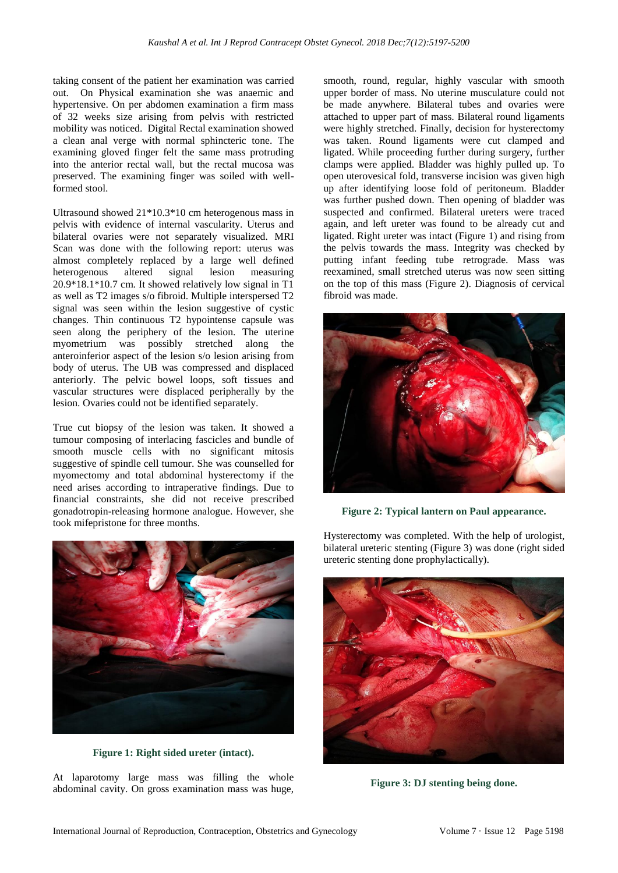taking consent of the patient her examination was carried out. On Physical examination she was anaemic and hypertensive. On per abdomen examination a firm mass of 32 weeks size arising from pelvis with restricted mobility was noticed. Digital Rectal examination showed a clean anal verge with normal sphincteric tone. The examining gloved finger felt the same mass protruding into the anterior rectal wall, but the rectal mucosa was preserved. The examining finger was soiled with wellformed stool.

Ultrasound showed 21\*10.3\*10 cm heterogenous mass in pelvis with evidence of internal vascularity. Uterus and bilateral ovaries were not separately visualized. MRI Scan was done with the following report: uterus was almost completely replaced by a large well defined heterogenous altered signal lesion measuring 20.9\*18.1\*10.7 cm. It showed relatively low signal in T1 as well as T2 images s/o fibroid. Multiple interspersed T2 signal was seen within the lesion suggestive of cystic changes. Thin continuous T2 hypointense capsule was seen along the periphery of the lesion. The uterine myometrium was possibly stretched along the anteroinferior aspect of the lesion s/o lesion arising from body of uterus. The UB was compressed and displaced anteriorly. The pelvic bowel loops, soft tissues and vascular structures were displaced peripherally by the lesion. Ovaries could not be identified separately.

True cut biopsy of the lesion was taken. It showed a tumour composing of interlacing fascicles and bundle of smooth muscle cells with no significant mitosis suggestive of spindle cell tumour. She was counselled for myomectomy and total abdominal hysterectomy if the need arises according to intraperative findings. Due to financial constraints, she did not receive prescribed gonadotropin-releasing hormone analogue. However, she took mifepristone for three months.

smooth, round, regular, highly vascular with smooth upper border of mass. No uterine musculature could not be made anywhere. Bilateral tubes and ovaries were attached to upper part of mass. Bilateral round ligaments were highly stretched. Finally, decision for hysterectomy was taken. Round ligaments were cut clamped and ligated. While proceeding further during surgery, further clamps were applied. Bladder was highly pulled up. To open uterovesical fold, transverse incision was given high up after identifying loose fold of peritoneum. Bladder was further pushed down. Then opening of bladder was suspected and confirmed. Bilateral ureters were traced again, and left ureter was found to be already cut and ligated. Right ureter was intact (Figure 1) and rising from the pelvis towards the mass. Integrity was checked by putting infant feeding tube retrograde. Mass was reexamined, small stretched uterus was now seen sitting on the top of this mass (Figure 2). Diagnosis of cervical fibroid was made.



**Figure 2: Typical lantern on Paul appearance.**



**Figure 1: Right sided ureter (intact).**

At laparotomy large mass was filling the whole abdominal cavity. On gross examination mass was huge, Hysterectomy was completed. With the help of urologist, bilateral ureteric stenting (Figure 3) was done (right sided ureteric stenting done prophylactically).



**Figure 3: DJ stenting being done.**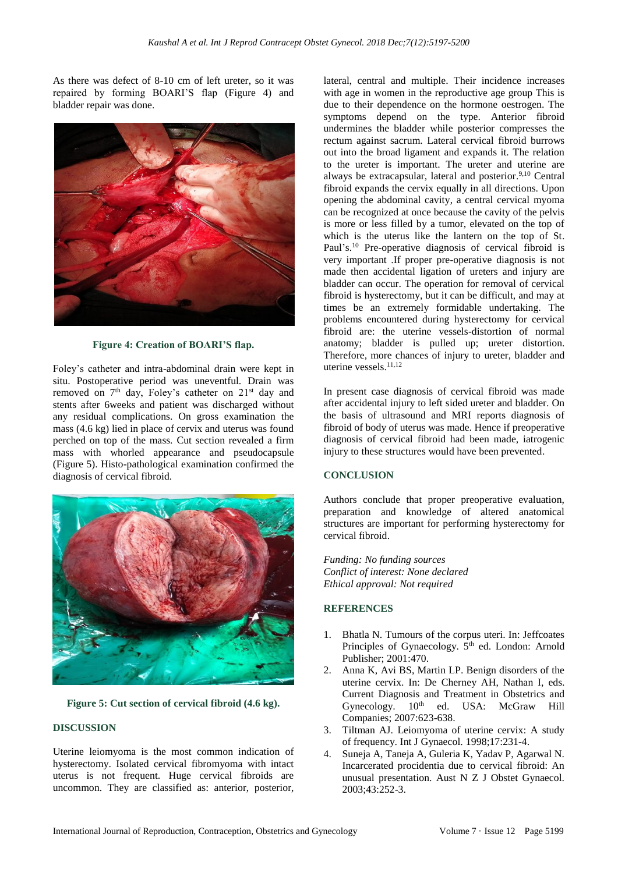As there was defect of 8-10 cm of left ureter, so it was repaired by forming BOARI'S flap (Figure 4) and bladder repair was done.



**Figure 4: Creation of BOARI'S flap.**

Foley's catheter and intra-abdominal drain were kept in situ. Postoperative period was uneventful. Drain was removed on  $7<sup>th</sup>$  day. Foley's catheter on  $21<sup>st</sup>$  day and stents after 6weeks and patient was discharged without any residual complications. On gross examination the mass (4.6 kg) lied in place of cervix and uterus was found perched on top of the mass. Cut section revealed a firm mass with whorled appearance and pseudocapsule (Figure 5). Histo-pathological examination confirmed the diagnosis of cervical fibroid.



**Figure 5: Cut section of cervical fibroid (4.6 kg).**

# **DISCUSSION**

Uterine leiomyoma is the most common indication of hysterectomy. Isolated cervical fibromyoma with intact uterus is not frequent. Huge cervical fibroids are uncommon. They are classified as: anterior, posterior, lateral, central and multiple. Their incidence increases with age in women in the reproductive age group This is due to their dependence on the hormone oestrogen. The symptoms depend on the type. Anterior fibroid undermines the bladder while posterior compresses the rectum against sacrum. Lateral cervical fibroid burrows out into the broad ligament and expands it. The relation to the ureter is important. The ureter and uterine are always be extracapsular, lateral and posterior. 9,10 Central fibroid expands the cervix equally in all directions. Upon opening the abdominal cavity, a central cervical myoma can be recognized at once because the cavity of the pelvis is more or less filled by a tumor, elevated on the top of which is the uterus like the lantern on the top of St. Paul's. <sup>10</sup> Pre-operative diagnosis of cervical fibroid is very important .If proper pre-operative diagnosis is not made then accidental ligation of ureters and injury are bladder can occur. The operation for removal of cervical fibroid is hysterectomy, but it can be difficult, and may at times be an extremely formidable undertaking. The problems encountered during hysterectomy for cervical fibroid are: the uterine vessels-distortion of normal anatomy; bladder is pulled up; ureter distortion. Therefore, more chances of injury to ureter, bladder and uterine vessels. 11,12

In present case diagnosis of cervical fibroid was made after accidental injury to left sided ureter and bladder. On the basis of ultrasound and MRI reports diagnosis of fibroid of body of uterus was made. Hence if preoperative diagnosis of cervical fibroid had been made, iatrogenic injury to these structures would have been prevented.

# **CONCLUSION**

Authors conclude that proper preoperative evaluation, preparation and knowledge of altered anatomical structures are important for performing hysterectomy for cervical fibroid.

*Funding: No funding sources Conflict of interest: None declared Ethical approval: Not required* 

# **REFERENCES**

- 1. Bhatla N. Tumours of the corpus uteri. In: Jeffcoates Principles of Gynaecology. 5<sup>th</sup> ed. London: Arnold Publisher; 2001:470.
- 2. Anna K, Avi BS, Martin LP. Benign disorders of the uterine cervix. In: De Cherney AH, Nathan I, eds. Current Diagnosis and Treatment in Obstetrics and Gynecology.  $10^{th}$  ed. USA: McGraw Hill Companies; 2007:623-638.
- 3. Tiltman AJ. Leiomyoma of uterine cervix: A study of frequency. Int J Gynaecol. 1998;17:231-4.
- 4. Suneja A, Taneja A, Guleria K, Yadav P, Agarwal N. Incarcerated procidentia due to cervical fibroid: An unusual presentation. Aust N Z J Obstet Gynaecol. 2003;43:252-3.